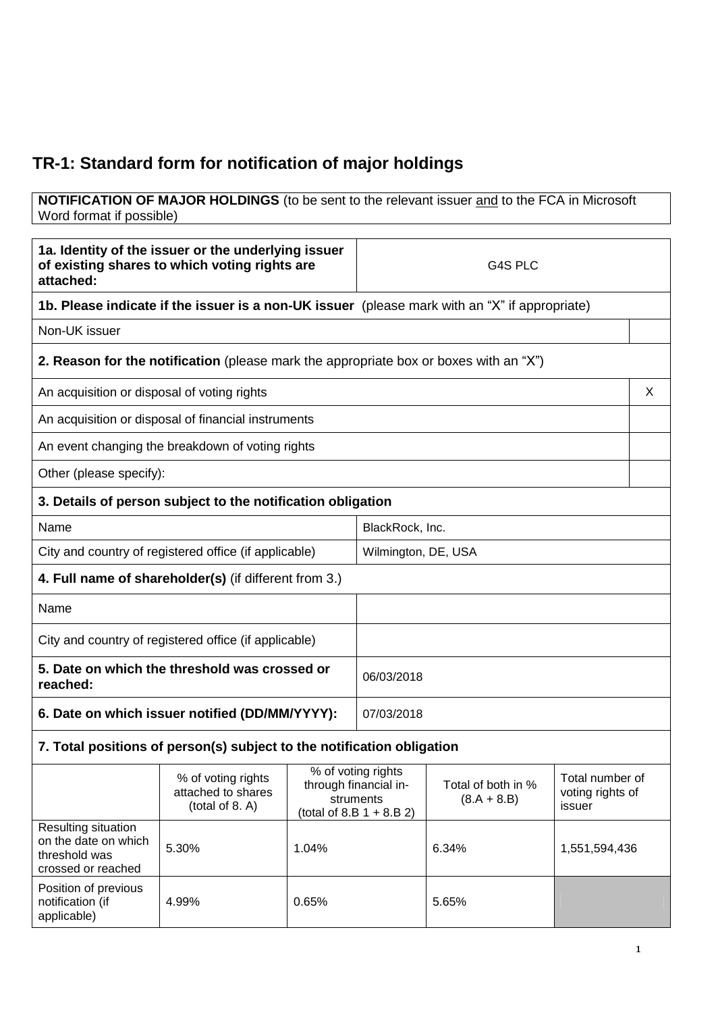# **TR-1: Standard form for notification of major holdings**

#### **NOTIFICATION OF MAJOR HOLDINGS** (to be sent to the relevant issuer and to the FCA in Microsoft Word format if possible)

|                                                                                                                                                                                                         | 1a. Identity of the issuer or the underlying issuer<br>of existing shares to which voting rights are | G4S PLC        |                                     |               |  |   |
|---------------------------------------------------------------------------------------------------------------------------------------------------------------------------------------------------------|------------------------------------------------------------------------------------------------------|----------------|-------------------------------------|---------------|--|---|
| attached:                                                                                                                                                                                               | <b>1b. Please indicate if the issuer is a non-UK issuer</b> (please mark with an "X" if appropriate) |                |                                     |               |  |   |
| Non-UK issuer                                                                                                                                                                                           |                                                                                                      |                |                                     |               |  |   |
|                                                                                                                                                                                                         | <b>2. Reason for the notification</b> (please mark the appropriate box or boxes with an "X")         |                |                                     |               |  |   |
|                                                                                                                                                                                                         |                                                                                                      |                |                                     |               |  |   |
| An acquisition or disposal of voting rights                                                                                                                                                             |                                                                                                      |                |                                     |               |  | X |
|                                                                                                                                                                                                         | An acquisition or disposal of financial instruments                                                  |                |                                     |               |  |   |
|                                                                                                                                                                                                         | An event changing the breakdown of voting rights                                                     |                |                                     |               |  |   |
| Other (please specify):                                                                                                                                                                                 |                                                                                                      |                |                                     |               |  |   |
|                                                                                                                                                                                                         | 3. Details of person subject to the notification obligation                                          |                |                                     |               |  |   |
| Name                                                                                                                                                                                                    |                                                                                                      |                | BlackRock, Inc.                     |               |  |   |
| City and country of registered office (if applicable)<br>Wilmington, DE, USA                                                                                                                            |                                                                                                      |                |                                     |               |  |   |
|                                                                                                                                                                                                         | 4. Full name of shareholder(s) (if different from 3.)                                                |                |                                     |               |  |   |
| Name                                                                                                                                                                                                    |                                                                                                      |                |                                     |               |  |   |
|                                                                                                                                                                                                         | City and country of registered office (if applicable)                                                |                |                                     |               |  |   |
| reached:                                                                                                                                                                                                | 5. Date on which the threshold was crossed or                                                        |                | 06/03/2018                          |               |  |   |
|                                                                                                                                                                                                         | 6. Date on which issuer notified (DD/MM/YYYY):                                                       |                | 07/03/2018                          |               |  |   |
|                                                                                                                                                                                                         | 7. Total positions of person(s) subject to the notification obligation                               |                |                                     |               |  |   |
| % of voting rights<br>% of voting rights<br>through financial in-<br>Total of both in %<br>attached to shares<br>struments<br>$(8.A + 8.B)$<br>(total of 8. A)<br>issuer<br>(total of 8.B $1 + 8.B 2$ ) |                                                                                                      |                | Total number of<br>voting rights of |               |  |   |
| Resulting situation<br>on the date on which<br>threshold was<br>crossed or reached                                                                                                                      | 5.30%                                                                                                | 1.04%<br>6.34% |                                     | 1,551,594,436 |  |   |
| Position of previous<br>notification (if<br>applicable)                                                                                                                                                 | 4.99%                                                                                                | 0.65%          |                                     | 5.65%         |  |   |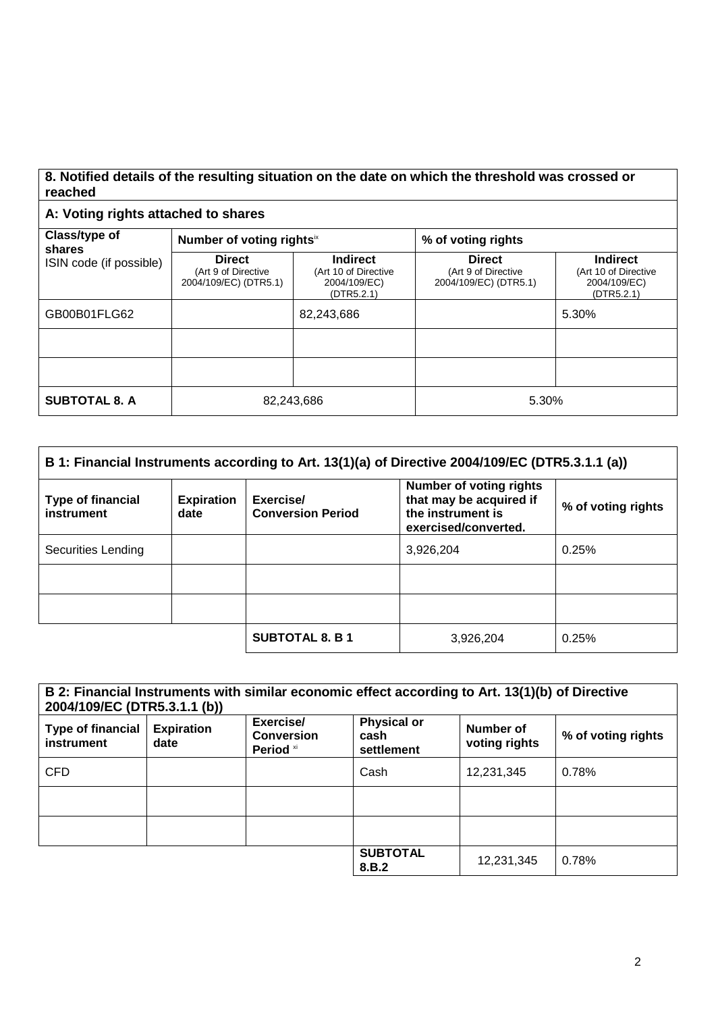### **8. Notified details of the resulting situation on the date on which the threshold was crossed or reached**

## **A: Voting rights attached to shares**

| Class/type of<br>shares<br>ISIN code (if possible) | Number of voting rights <sup>ix</sup>                         |                                                                       | % of voting rights                                            |                                                                       |  |
|----------------------------------------------------|---------------------------------------------------------------|-----------------------------------------------------------------------|---------------------------------------------------------------|-----------------------------------------------------------------------|--|
|                                                    | <b>Direct</b><br>(Art 9 of Directive<br>2004/109/EC) (DTR5.1) | <b>Indirect</b><br>(Art 10 of Directive<br>2004/109/EC)<br>(DTR5.2.1) | <b>Direct</b><br>(Art 9 of Directive<br>2004/109/EC) (DTR5.1) | <b>Indirect</b><br>(Art 10 of Directive<br>2004/109/EC)<br>(DTR5.2.1) |  |
| GB00B01FLG62                                       |                                                               | 82,243,686                                                            |                                                               | 5.30%                                                                 |  |
|                                                    |                                                               |                                                                       |                                                               |                                                                       |  |
|                                                    |                                                               |                                                                       |                                                               |                                                                       |  |
| <b>SUBTOTAL 8. A</b>                               | 82,243,686                                                    |                                                                       | 5.30%                                                         |                                                                       |  |

| B 1: Financial Instruments according to Art. 13(1)(a) of Directive 2004/109/EC (DTR5.3.1.1 (a)) |                           |                                       |                                                                                                        |                    |  |
|-------------------------------------------------------------------------------------------------|---------------------------|---------------------------------------|--------------------------------------------------------------------------------------------------------|--------------------|--|
| <b>Type of financial</b><br>instrument                                                          | <b>Expiration</b><br>date | Exercise/<br><b>Conversion Period</b> | <b>Number of voting rights</b><br>that may be acquired if<br>the instrument is<br>exercised/converted. | % of voting rights |  |
| Securities Lending                                                                              |                           |                                       | 3,926,204                                                                                              | 0.25%              |  |
|                                                                                                 |                           |                                       |                                                                                                        |                    |  |
|                                                                                                 |                           |                                       |                                                                                                        |                    |  |
|                                                                                                 |                           | <b>SUBTOTAL 8. B 1</b>                | 3.926.204                                                                                              | 0.25%              |  |

| B 2: Financial Instruments with similar economic effect according to Art. 13(1)(b) of Directive<br>2004/109/EC (DTR5.3.1.1 (b)) |                           |                                                        |                                          |                            |                    |  |
|---------------------------------------------------------------------------------------------------------------------------------|---------------------------|--------------------------------------------------------|------------------------------------------|----------------------------|--------------------|--|
| <b>Type of financial</b><br>instrument                                                                                          | <b>Expiration</b><br>date | Exercise/<br><b>Conversion</b><br>Period <sup>xi</sup> | <b>Physical or</b><br>cash<br>settlement | Number of<br>voting rights | % of voting rights |  |
| <b>CFD</b>                                                                                                                      |                           |                                                        | Cash                                     | 12,231,345                 | 0.78%              |  |
|                                                                                                                                 |                           |                                                        |                                          |                            |                    |  |
|                                                                                                                                 |                           |                                                        |                                          |                            |                    |  |
|                                                                                                                                 |                           |                                                        | <b>SUBTOTAL</b><br>8.B.2                 | 12,231,345                 | 0.78%              |  |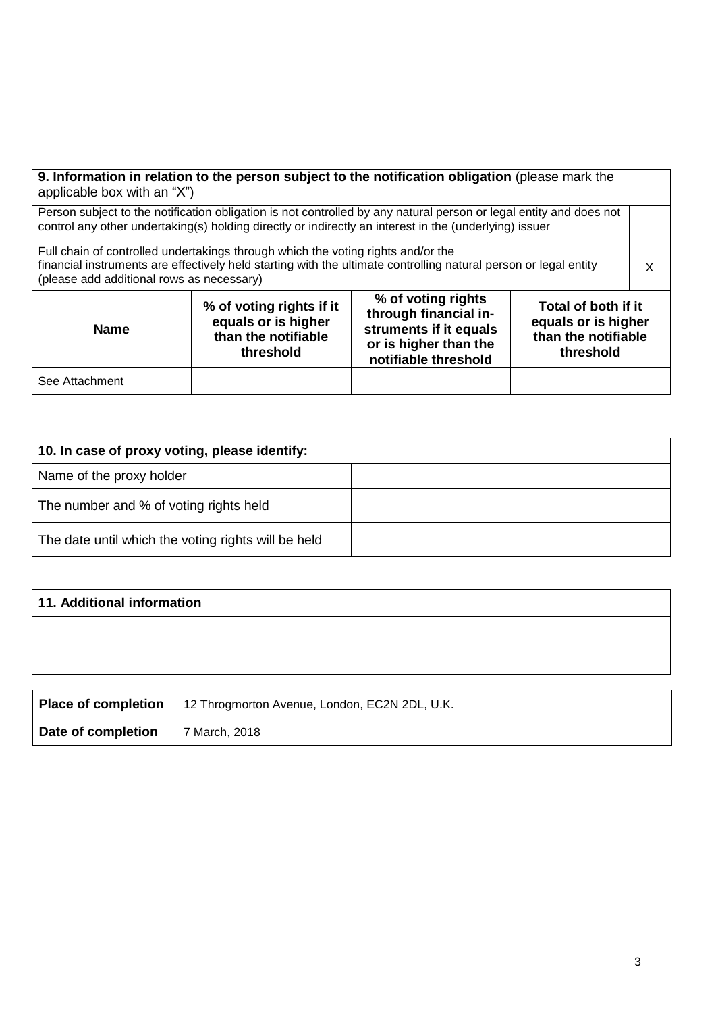| 9. Information in relation to the person subject to the notification obligation (please mark the<br>applicable box with an "X")                                                                                                                                                                                |  |  |  |  |  |  |
|----------------------------------------------------------------------------------------------------------------------------------------------------------------------------------------------------------------------------------------------------------------------------------------------------------------|--|--|--|--|--|--|
| Person subject to the notification obligation is not controlled by any natural person or legal entity and does not<br>control any other undertaking(s) holding directly or indirectly an interest in the (underlying) issuer                                                                                   |  |  |  |  |  |  |
| Full chain of controlled undertakings through which the voting rights and/or the<br>financial instruments are effectively held starting with the ultimate controlling natural person or legal entity<br>(please add additional rows as necessary)                                                              |  |  |  |  |  |  |
| % of voting rights<br>% of voting rights if it<br>Total of both if it<br>through financial in-<br>equals or is higher<br>equals or is higher<br>struments if it equals<br><b>Name</b><br>than the notifiable<br>than the notifiable<br>or is higher than the<br>threshold<br>threshold<br>notifiable threshold |  |  |  |  |  |  |
| See Attachment                                                                                                                                                                                                                                                                                                 |  |  |  |  |  |  |

| 10. In case of proxy voting, please identify:       |  |
|-----------------------------------------------------|--|
| Name of the proxy holder                            |  |
| The number and % of voting rights held              |  |
| The date until which the voting rights will be held |  |

| 11. Additional information |                                                   |  |  |  |  |
|----------------------------|---------------------------------------------------|--|--|--|--|
|                            |                                                   |  |  |  |  |
|                            |                                                   |  |  |  |  |
|                            |                                                   |  |  |  |  |
| <b>Place of completion</b> | $\pm$ 12 Throamorton Avenue London, EC2N 2DL, LLK |  |  |  |  |

|                    | <b>Place of completion</b>   12 Throgmorton Avenue, London, EC2N 2DL, U.K. |
|--------------------|----------------------------------------------------------------------------|
| Date of completion | 7 March, 2018                                                              |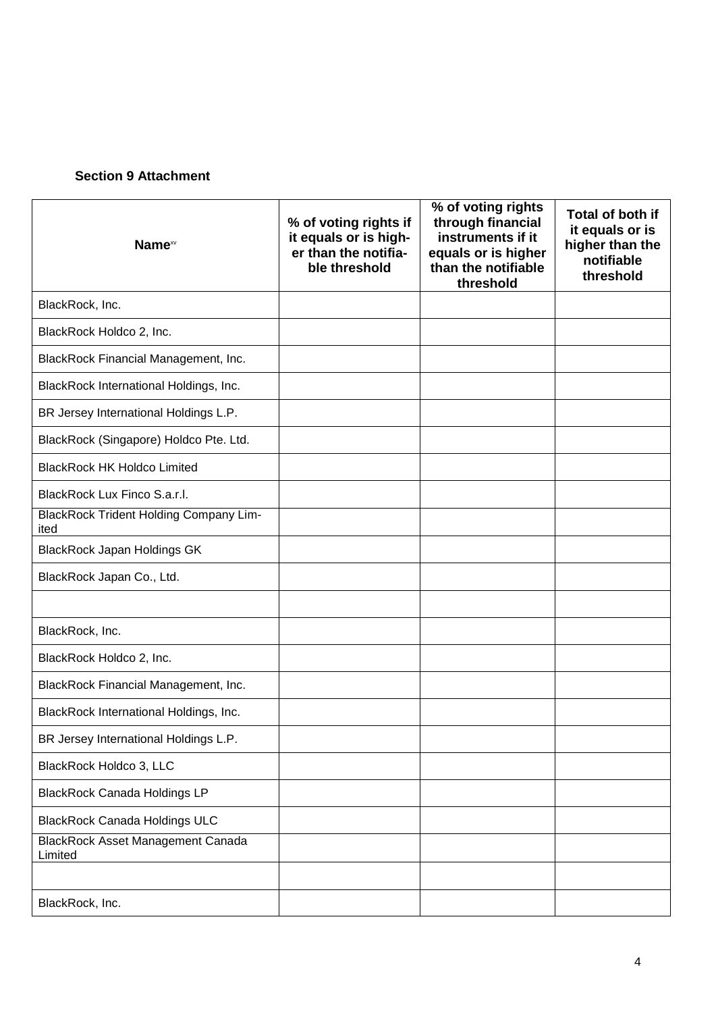### **Section 9 Attachment**

| Name <sup>xv</sup>                                    | % of voting rights if<br>it equals or is high-<br>er than the notifia-<br>ble threshold | % of voting rights<br>through financial<br>instruments if it<br>equals or is higher<br>than the notifiable<br>threshold | Total of both if<br>it equals or is<br>higher than the<br>notifiable<br>threshold |
|-------------------------------------------------------|-----------------------------------------------------------------------------------------|-------------------------------------------------------------------------------------------------------------------------|-----------------------------------------------------------------------------------|
| BlackRock, Inc.                                       |                                                                                         |                                                                                                                         |                                                                                   |
| BlackRock Holdco 2, Inc.                              |                                                                                         |                                                                                                                         |                                                                                   |
| BlackRock Financial Management, Inc.                  |                                                                                         |                                                                                                                         |                                                                                   |
| BlackRock International Holdings, Inc.                |                                                                                         |                                                                                                                         |                                                                                   |
| BR Jersey International Holdings L.P.                 |                                                                                         |                                                                                                                         |                                                                                   |
| BlackRock (Singapore) Holdco Pte. Ltd.                |                                                                                         |                                                                                                                         |                                                                                   |
| <b>BlackRock HK Holdco Limited</b>                    |                                                                                         |                                                                                                                         |                                                                                   |
| BlackRock Lux Finco S.a.r.l.                          |                                                                                         |                                                                                                                         |                                                                                   |
| <b>BlackRock Trident Holding Company Lim-</b><br>ited |                                                                                         |                                                                                                                         |                                                                                   |
| <b>BlackRock Japan Holdings GK</b>                    |                                                                                         |                                                                                                                         |                                                                                   |
| BlackRock Japan Co., Ltd.                             |                                                                                         |                                                                                                                         |                                                                                   |
|                                                       |                                                                                         |                                                                                                                         |                                                                                   |
| BlackRock, Inc.                                       |                                                                                         |                                                                                                                         |                                                                                   |
| BlackRock Holdco 2, Inc.                              |                                                                                         |                                                                                                                         |                                                                                   |
| BlackRock Financial Management, Inc.                  |                                                                                         |                                                                                                                         |                                                                                   |
| BlackRock International Holdings, Inc.                |                                                                                         |                                                                                                                         |                                                                                   |
| BR Jersey International Holdings L.P.                 |                                                                                         |                                                                                                                         |                                                                                   |
| BlackRock Holdco 3, LLC                               |                                                                                         |                                                                                                                         |                                                                                   |
| <b>BlackRock Canada Holdings LP</b>                   |                                                                                         |                                                                                                                         |                                                                                   |
| <b>BlackRock Canada Holdings ULC</b>                  |                                                                                         |                                                                                                                         |                                                                                   |
| <b>BlackRock Asset Management Canada</b><br>Limited   |                                                                                         |                                                                                                                         |                                                                                   |
|                                                       |                                                                                         |                                                                                                                         |                                                                                   |
| BlackRock, Inc.                                       |                                                                                         |                                                                                                                         |                                                                                   |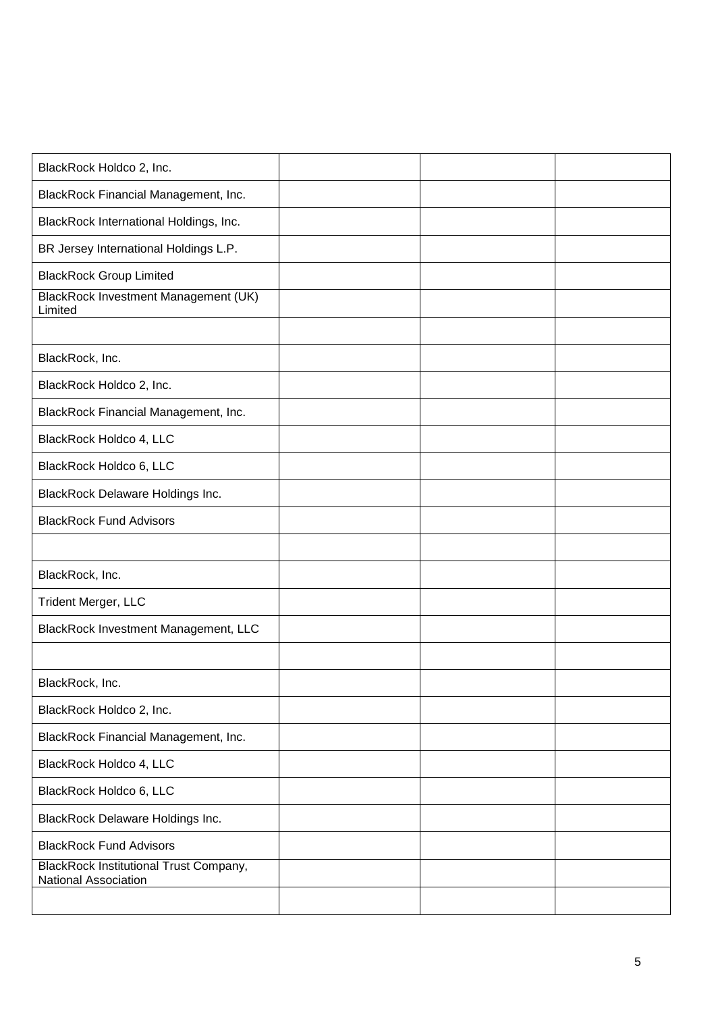| BlackRock Holdco 2, Inc.                                              |  |  |
|-----------------------------------------------------------------------|--|--|
| BlackRock Financial Management, Inc.                                  |  |  |
| BlackRock International Holdings, Inc.                                |  |  |
| BR Jersey International Holdings L.P.                                 |  |  |
| <b>BlackRock Group Limited</b>                                        |  |  |
| BlackRock Investment Management (UK)<br>Limited                       |  |  |
|                                                                       |  |  |
| BlackRock, Inc.                                                       |  |  |
| BlackRock Holdco 2, Inc.                                              |  |  |
| BlackRock Financial Management, Inc.                                  |  |  |
| BlackRock Holdco 4, LLC                                               |  |  |
| BlackRock Holdco 6, LLC                                               |  |  |
| <b>BlackRock Delaware Holdings Inc.</b>                               |  |  |
| <b>BlackRock Fund Advisors</b>                                        |  |  |
|                                                                       |  |  |
| BlackRock, Inc.                                                       |  |  |
| Trident Merger, LLC                                                   |  |  |
| BlackRock Investment Management, LLC                                  |  |  |
|                                                                       |  |  |
| BlackRock, Inc.                                                       |  |  |
| BlackRock Holdco 2, Inc.                                              |  |  |
| BlackRock Financial Management, Inc.                                  |  |  |
| BlackRock Holdco 4, LLC                                               |  |  |
| BlackRock Holdco 6, LLC                                               |  |  |
| <b>BlackRock Delaware Holdings Inc.</b>                               |  |  |
| <b>BlackRock Fund Advisors</b>                                        |  |  |
| <b>BlackRock Institutional Trust Company,</b><br>National Association |  |  |
|                                                                       |  |  |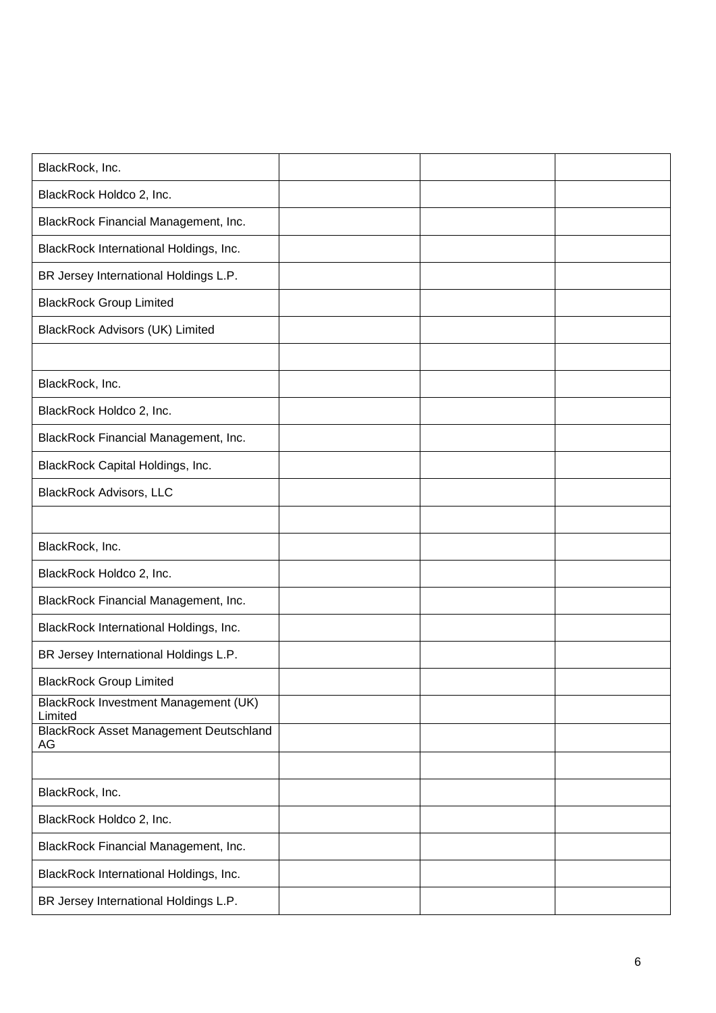| BlackRock, Inc.                                     |  |  |
|-----------------------------------------------------|--|--|
| BlackRock Holdco 2, Inc.                            |  |  |
| BlackRock Financial Management, Inc.                |  |  |
| BlackRock International Holdings, Inc.              |  |  |
| BR Jersey International Holdings L.P.               |  |  |
| <b>BlackRock Group Limited</b>                      |  |  |
| <b>BlackRock Advisors (UK) Limited</b>              |  |  |
|                                                     |  |  |
| BlackRock, Inc.                                     |  |  |
| BlackRock Holdco 2, Inc.                            |  |  |
| BlackRock Financial Management, Inc.                |  |  |
| BlackRock Capital Holdings, Inc.                    |  |  |
| <b>BlackRock Advisors, LLC</b>                      |  |  |
|                                                     |  |  |
| BlackRock, Inc.                                     |  |  |
| BlackRock Holdco 2, Inc.                            |  |  |
| BlackRock Financial Management, Inc.                |  |  |
| BlackRock International Holdings, Inc.              |  |  |
| BR Jersey International Holdings L.P.               |  |  |
| <b>BlackRock Group Limited</b>                      |  |  |
| BlackRock Investment Management (UK)<br>Limited     |  |  |
| <b>BlackRock Asset Management Deutschland</b><br>AG |  |  |
|                                                     |  |  |
| BlackRock, Inc.                                     |  |  |
| BlackRock Holdco 2, Inc.                            |  |  |
| BlackRock Financial Management, Inc.                |  |  |
| BlackRock International Holdings, Inc.              |  |  |
| BR Jersey International Holdings L.P.               |  |  |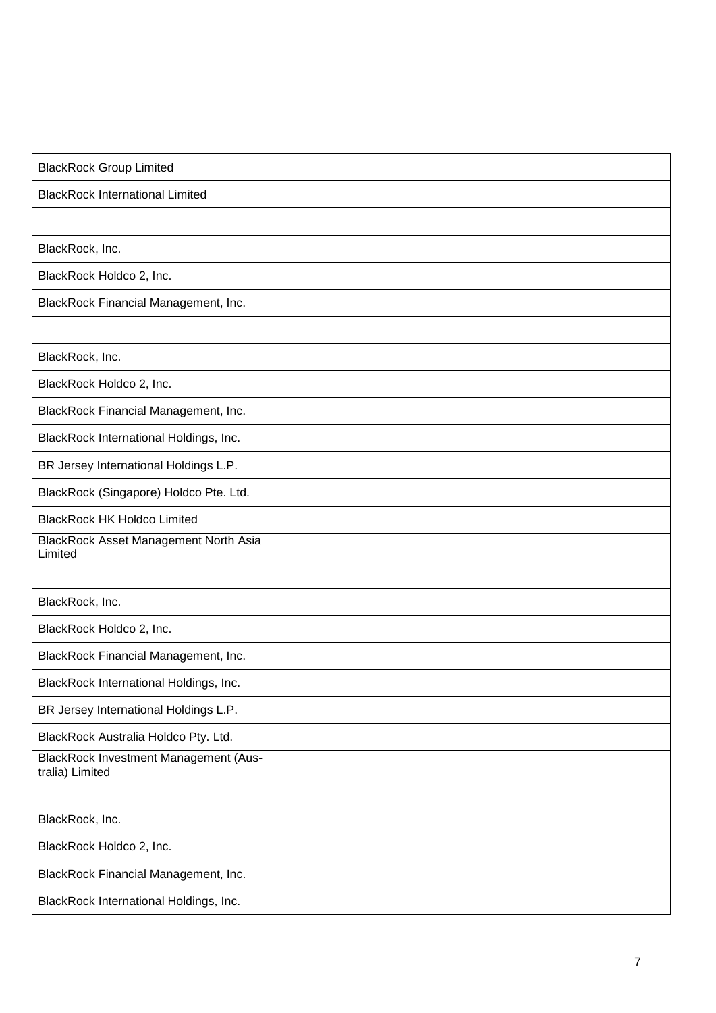| <b>BlackRock Group Limited</b>                                  |  |  |
|-----------------------------------------------------------------|--|--|
| <b>BlackRock International Limited</b>                          |  |  |
|                                                                 |  |  |
| BlackRock, Inc.                                                 |  |  |
| BlackRock Holdco 2, Inc.                                        |  |  |
| BlackRock Financial Management, Inc.                            |  |  |
|                                                                 |  |  |
| BlackRock, Inc.                                                 |  |  |
| BlackRock Holdco 2, Inc.                                        |  |  |
| BlackRock Financial Management, Inc.                            |  |  |
| BlackRock International Holdings, Inc.                          |  |  |
| BR Jersey International Holdings L.P.                           |  |  |
| BlackRock (Singapore) Holdco Pte. Ltd.                          |  |  |
| <b>BlackRock HK Holdco Limited</b>                              |  |  |
| BlackRock Asset Management North Asia<br>Limited                |  |  |
|                                                                 |  |  |
| BlackRock, Inc.                                                 |  |  |
| BlackRock Holdco 2, Inc.                                        |  |  |
| BlackRock Financial Management, Inc.                            |  |  |
| BlackRock International Holdings, Inc.                          |  |  |
| BR Jersey International Holdings L.P.                           |  |  |
| BlackRock Australia Holdco Pty. Ltd.                            |  |  |
| <b>BlackRock Investment Management (Aus-</b><br>tralia) Limited |  |  |
|                                                                 |  |  |
| BlackRock, Inc.                                                 |  |  |
| BlackRock Holdco 2, Inc.                                        |  |  |
| BlackRock Financial Management, Inc.                            |  |  |
| BlackRock International Holdings, Inc.                          |  |  |